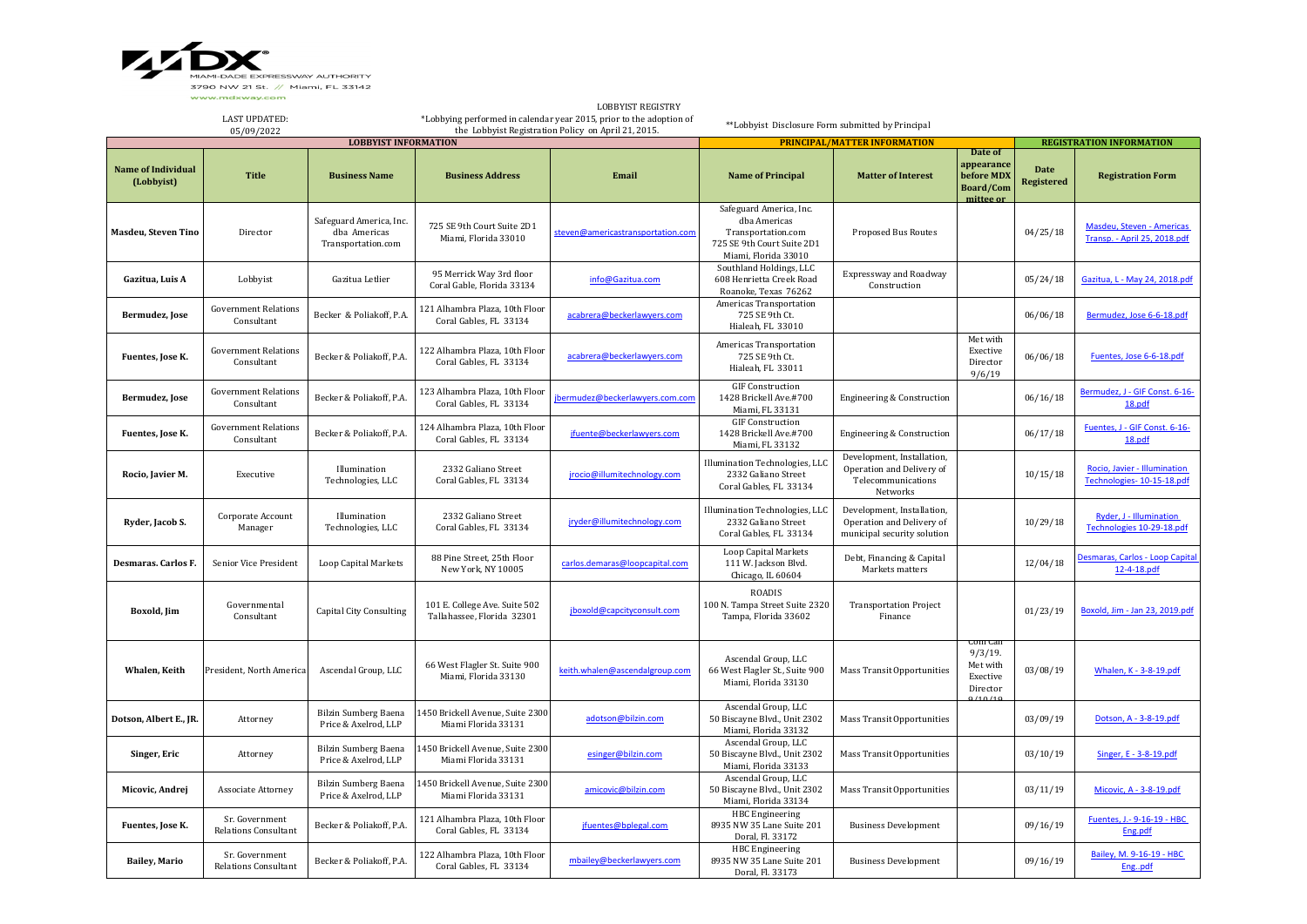LAST UPDATED: 05/09/2022

\*Lobbying performed in calendar year 2015, prior to the adoption of ing performed in calendar year 2015, prior to the adoption of which we had by Principal the Lobbyist Disclosure Form submitted by Principal<br>the Lobbyist Registration Policy on April 21, 2015.

|                                         | 03/07/2022                                    |                                                               | the Bobby ist Registration Foney on April 21, 2015.<br><b>LOBBYIST INFORMATION</b> |                                   |                                                                                                                     | <b>PRINCIPAL/MATTER INFORMATION</b>                                                       |                                                                           |                                  | <b>REGISTRATION INFORMATION</b>                            |  |  |
|-----------------------------------------|-----------------------------------------------|---------------------------------------------------------------|------------------------------------------------------------------------------------|-----------------------------------|---------------------------------------------------------------------------------------------------------------------|-------------------------------------------------------------------------------------------|---------------------------------------------------------------------------|----------------------------------|------------------------------------------------------------|--|--|
| <b>Name of Individual</b><br>(Lobbyist) | <b>Title</b>                                  | <b>Business Name</b>                                          | <b>Business Address</b>                                                            | Email                             | <b>Name of Principal</b>                                                                                            | <b>Matter of Interest</b>                                                                 | Date of<br>appearance<br>before MDX<br><b>Board/Com</b><br>mittee or      | <b>Date</b><br><b>Registered</b> | <b>Registration Form</b>                                   |  |  |
| <b>Masdeu, Steven Tino</b>              | Director                                      | Safeguard America, Inc.<br>dba Americas<br>Transportation.com | 725 SE 9th Court Suite 2D1<br>Miami, Florida 33010                                 | steven@americastransportation.com | Safeguard America, Inc.<br>dba Americas<br>Transportation.com<br>725 SE 9th Court Suite 2D1<br>Miami, Florida 33010 | <b>Proposed Bus Routes</b>                                                                |                                                                           | 04/25/18                         | Masdeu, Steven - Americas<br>Transp. - April 25, 2018.pdf  |  |  |
| Gazitua, Luis A                         | Lobbyist                                      | Gazitua Letlier                                               | 95 Merrick Way 3rd floor<br>Coral Gable, Florida 33134                             | info@Gazitua.com                  | Southland Holdings, LLC<br>608 Henrietta Creek Road<br>Roanoke, Texas 76262                                         | <b>Expressway and Roadway</b><br>Construction                                             |                                                                           | 05/24/18                         | Gazitua, L - May 24, 2018.pdf                              |  |  |
| Bermudez, Jose                          | <b>Government Relations</b><br>Consultant     | Becker & Poliakoff, P.A.                                      | 121 Alhambra Plaza, 10th Floor<br>Coral Gables, FL 33134                           | acabrera@beckerlawyers.com        | <b>Americas Transportation</b><br>725 SE 9th Ct.<br>Hialeah, FL 33010                                               |                                                                                           |                                                                           | 06/06/18                         | Bermudez, Jose 6-6-18.pdf                                  |  |  |
| Fuentes, Jose K.                        | <b>Government Relations</b><br>Consultant     | Becker & Poliakoff, P.A.                                      | 122 Alhambra Plaza, 10th Floor<br>Coral Gables, FL 33134                           | acabrera@beckerlawyers.com        | <b>Americas Transportation</b><br>725 SE 9th Ct.<br>Hialeah, FL 33011                                               |                                                                                           | Met with<br>Exective<br>Director<br>9/6/19                                | 06/06/18                         | Fuentes, Jose 6-6-18.pdf                                   |  |  |
| Bermudez, Jose                          | <b>Government Relations</b><br>Consultant     | Becker & Poliakoff, P.A.                                      | 123 Alhambra Plaza, 10th Floor<br>Coral Gables, FL 33134                           | jbermudez@beckerlawyers.com.com   | <b>GIF Construction</b><br>1428 Brickell Ave.#700<br>Miami, FL 33131                                                | Engineering & Construction                                                                |                                                                           | 06/16/18                         | Bermudez, J - GIF Const. 6-16-<br>18.pdf                   |  |  |
| Fuentes, Jose K.                        | <b>Government Relations</b><br>Consultant     | Becker & Poliakoff, P.A.                                      | 124 Alhambra Plaza, 10th Floor<br>Coral Gables, FL 33134                           | jfuente@beckerlawyers.com         | <b>GIF Construction</b><br>1428 Brickell Ave.#700<br>Miami, FL 33132                                                | <b>Engineering &amp; Construction</b>                                                     |                                                                           | 06/17/18                         | Fuentes, J - GIF Const. 6-16-<br><u>18.pdf</u>             |  |  |
| Rocio, Javier M.                        | Executive                                     | Illumination<br>Technologies, LLC                             | 2332 Galiano Street<br>Coral Gables, FL 33134                                      | jrocio@illumitechnology.com       | Illumination Technologies, LLC<br>2332 Galiano Street<br>Coral Gables, FL 33134                                     | Development, Installation,<br>Operation and Delivery of<br>Telecommunications<br>Networks |                                                                           | 10/15/18                         | Rocio, Javier - Illumination<br>Technologies- 10-15-18.pdf |  |  |
| Ryder, Jacob S.                         | Corporate Account<br>Manager                  | Illumination<br>Technologies, LLC                             | 2332 Galiano Street<br>Coral Gables, FL 33134                                      | jryder@illumitechnology.com       | Illumination Technologies, LLC<br>2332 Galiano Street<br>Coral Gables, FL 33134                                     | Development, Installation,<br>Operation and Delivery of<br>municipal security solution    |                                                                           | 10/29/18                         | Ryder, J - Illumination<br>Technologies 10-29-18.pdf       |  |  |
| <b>Desmaras. Carlos F.</b>              | <b>Senior Vice President</b>                  | Loop Capital Markets                                          | 88 Pine Street, 25th Floor<br>New York, NY 10005                                   | carlos.demaras@loopcapital.com    | Loop Capital Markets<br>111 W. Jackson Blvd.<br>Chicago, IL 60604                                                   | Debt, Financing & Capital<br>Markets matters                                              |                                                                           | 12/04/18                         | Desmaras, Carlos - Loop Capital<br>12-4-18.pdf             |  |  |
| Boxold, Jim                             | Governmental<br>Consultant                    | <b>Capital City Consulting</b>                                | 101 E. College Ave. Suite 502<br>Tallahassee, Florida 32301                        | jboxold@capcityconsult.com        | <b>ROADIS</b><br>100 N. Tampa Street Suite 2320<br>Tampa, Florida 33602                                             | <b>Transportation Project</b><br>Finance                                                  |                                                                           | 01/23/19                         | Boxold, Jim - Jan 23, 2019.pdf                             |  |  |
| <b>Whalen, Keith</b>                    | President, North America                      | Ascendal Group, LLC                                           | 66 West Flagler St. Suite 900<br>Miami, Florida 33130                              | keith.whalen@ascendalgroup.com    | Ascendal Group, LLC<br>66 West Flagler St., Suite 900<br>Miami, Florida 33130                                       | <b>Mass Transit Opportunities</b>                                                         | <b>Confican</b><br>9/3/19.<br>Met with<br>Exective<br>Director<br>0/10/10 | 03/08/19                         | Whalen, K - 3-8-19.pdf                                     |  |  |
| Dotson, Albert E., JR.                  | Attorney                                      | <b>Bilzin Sumberg Baena</b><br>Price & Axelrod, LLP           | 450 Brickell Avenue, Suite 2300<br>Miami Florida 33131                             | adotson@bilzin.com                | Ascendal Group, LLC<br>50 Biscayne Blvd., Unit 2302<br>Miami, Florida 33132                                         | <b>Mass Transit Opportunities</b>                                                         |                                                                           | 03/09/19                         | Dotson, A - 3-8-19.pdf                                     |  |  |
| Singer, Eric                            | Attorney                                      | <b>Bilzin Sumberg Baena</b><br>Price & Axelrod, LLP           | 1450 Brickell Avenue, Suite 2300<br>Miami Florida 33131                            | esinger@bilzin.com                | Ascendal Group, LLC<br>50 Biscayne Blvd., Unit 2302<br>Miami, Florida 33133                                         | <b>Mass Transit Opportunities</b>                                                         |                                                                           | 03/10/19                         | Singer, E - 3-8-19.pdf                                     |  |  |
| Micovic, Andrej                         | <b>Associate Attorney</b>                     | <b>Bilzin Sumberg Baena</b><br>Price & Axelrod, LLP           | 450 Brickell Avenue, Suite 2300<br>Miami Florida 33131                             | amicovic@bilzin.com               | Ascendal Group, LLC<br>50 Biscayne Blvd., Unit 2302<br>Miami, Florida 33134                                         | <b>Mass Transit Opportunities</b>                                                         |                                                                           | 03/11/19                         | Micovic, A - 3-8-19.pdf                                    |  |  |
| Fuentes, Jose K.                        | Sr. Government<br>Relations Consultant        | Becker & Poliakoff, P.A.                                      | 121 Alhambra Plaza, 10th Floor<br>Coral Gables, FL 33134                           | jfuentes@bplegal.com              | <b>HBC</b> Engineering<br>8935 NW 35 Lane Suite 201<br>Doral, Fl. 33172                                             | <b>Business Development</b>                                                               |                                                                           | 09/16/19                         | Fuentes, J.- 9-16-19 - HBC<br>Eng.pdf                      |  |  |
| <b>Bailey, Mario</b>                    | Sr. Government<br><b>Relations Consultant</b> | Becker & Poliakoff, P.A.                                      | 122 Alhambra Plaza, 10th Floor<br>Coral Gables, FL 33134                           | mbailey@beckerlawyers.com         | <b>HBC</b> Engineering<br>8935 NW 35 Lane Suite 201<br>Doral, Fl. 33173                                             | <b>Business Development</b>                                                               |                                                                           | 09/16/19                         | Bailey, M. 9-16-19 - HBC<br>Engpdf                         |  |  |



LOBBYIST REGISTRY